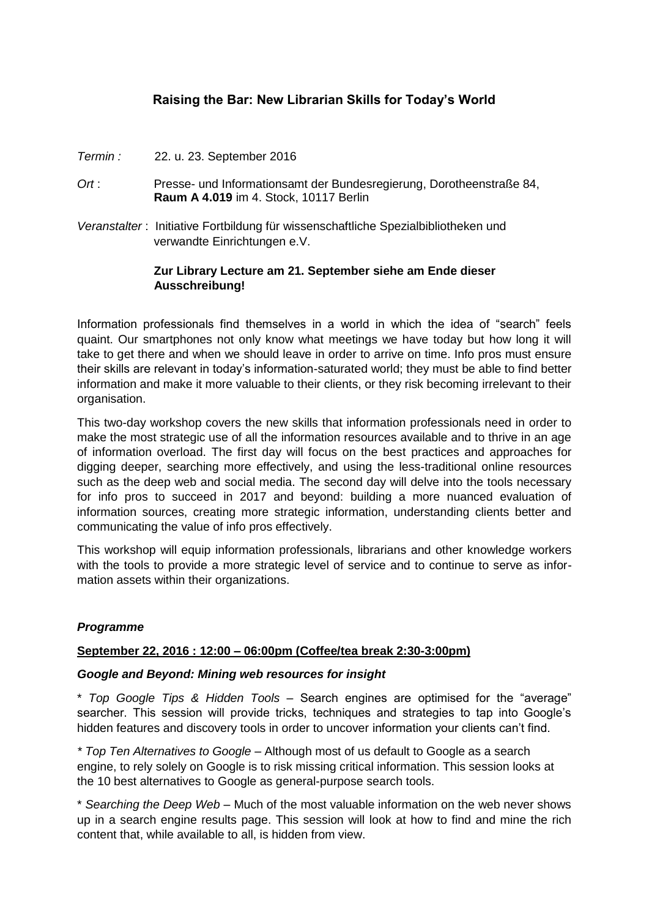# **Raising the Bar: New Librarian Skills for Today's World**

- *Termin :* 22. u. 23. September 2016
- *Ort* : Presse- und Informationsamt der Bundesregierung, Dorotheenstraße 84, **Raum A 4.019** im 4. Stock, 10117 Berlin
- *Veranstalter* : Initiative Fortbildung für wissenschaftliche Spezialbibliotheken und verwandte Einrichtungen e.V.

# **Zur Library Lecture am 21. September siehe am Ende dieser Ausschreibung!**

Information professionals find themselves in a world in which the idea of "search" feels quaint. Our smartphones not only know what meetings we have today but how long it will take to get there and when we should leave in order to arrive on time. Info pros must ensure their skills are relevant in today's information-saturated world; they must be able to find better information and make it more valuable to their clients, or they risk becoming irrelevant to their organisation.

This two-day workshop covers the new skills that information professionals need in order to make the most strategic use of all the information resources available and to thrive in an age of information overload. The first day will focus on the best practices and approaches for digging deeper, searching more effectively, and using the less-traditional online resources such as the deep web and social media. The second day will delve into the tools necessary for info pros to succeed in 2017 and beyond: building a more nuanced evaluation of information sources, creating more strategic information, understanding clients better and communicating the value of info pros effectively.

This workshop will equip information professionals, librarians and other knowledge workers with the tools to provide a more strategic level of service and to continue to serve as information assets within their organizations.

### *Programme*

### **September 22, 2016 : 12:00 – 06:00pm (Coffee/tea break 2:30-3:00pm)**

#### *Google and Beyond: Mining web resources for insight*

\* *Top Google Tips & Hidden Tools –* Search engines are optimised for the "average" searcher. This session will provide tricks, techniques and strategies to tap into Google's hidden features and discovery tools in order to uncover information your clients can't find.

*\* Top Ten Alternatives to Google* – Although most of us default to Google as a search engine, to rely solely on Google is to risk missing critical information. This session looks at the 10 best alternatives to Google as general-purpose search tools.

\* *Searching the Deep Web* – Much of the most valuable information on the web never shows up in a search engine results page. This session will look at how to find and mine the rich content that, while available to all, is hidden from view.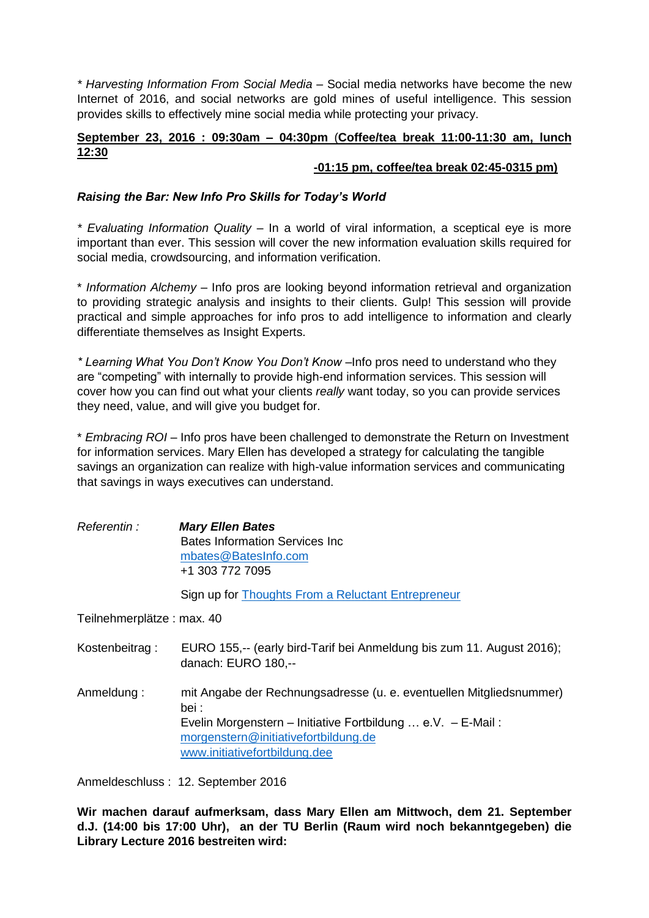*\* Harvesting Information From Social Media* – Social media networks have become the new Internet of 2016, and social networks are gold mines of useful intelligence. This session provides skills to effectively mine social media while protecting your privacy.

# **September 23, 2016 : 09:30am – 04:30pm** (**Coffee/tea break 11:00-11:30 am, lunch 12:30**

# **-01:15 pm, coffee/tea break 02:45-0315 pm)**

### *Raising the Bar: New Info Pro Skills for Today's World*

*\* Evaluating Information Quality* – In a world of viral information, a sceptical eye is more important than ever. This session will cover the new information evaluation skills required for social media, crowdsourcing, and information verification.

\* *Information Alchemy* – Info pros are looking beyond information retrieval and organization to providing strategic analysis and insights to their clients. Gulp! This session will provide practical and simple approaches for info pros to add intelligence to information and clearly differentiate themselves as Insight Experts.

*\* Learning What You Don't Know You Don't Know* –Info pros need to understand who they are "competing" with internally to provide high-end information services. This session will cover how you can find out what your clients *really* want today, so you can provide services they need, value, and will give you budget for.

\* *Embracing ROI* – Info pros have been challenged to demonstrate the Return on Investment for information services. Mary Ellen has developed a strategy for calculating the tangible savings an organization can realize with high-value information services and communicating that savings in ways executives can understand.

*Referentin : Mary Ellen Bates* Bates Information Services Inc [mbates@BatesInfo.com](mailto:mbates@BatesInfo.com) +1 303 772 7095

Sign up for [Thoughts From a Reluctant](http://eepurl.com/bnGaQb) Entrepreneur

Teilnehmerplätze : max. 40

- Kostenbeitrag : EURO 155,-- (early bird-Tarif bei Anmeldung bis zum 11. August 2016); danach: EURO 180,--
- Anmeldung : mit Angabe der Rechnungsadresse (u. e. eventuellen Mitgliedsnummer) bei : Evelin Morgenstern – Initiative Fortbildung … e.V. – E-Mail : [morgenstern@initiativefortbildung.de](mailto:morgenstern@initiativefortbildung.de) [www.initiativefortbildung.dee](http://www.initiativefortbildung.dee/)

Anmeldeschluss : 12. September 2016

**Wir machen darauf aufmerksam, dass Mary Ellen am Mittwoch, dem 21. September d.J. (14:00 bis 17:00 Uhr), an der TU Berlin (Raum wird noch bekanntgegeben) die Library Lecture 2016 bestreiten wird:**